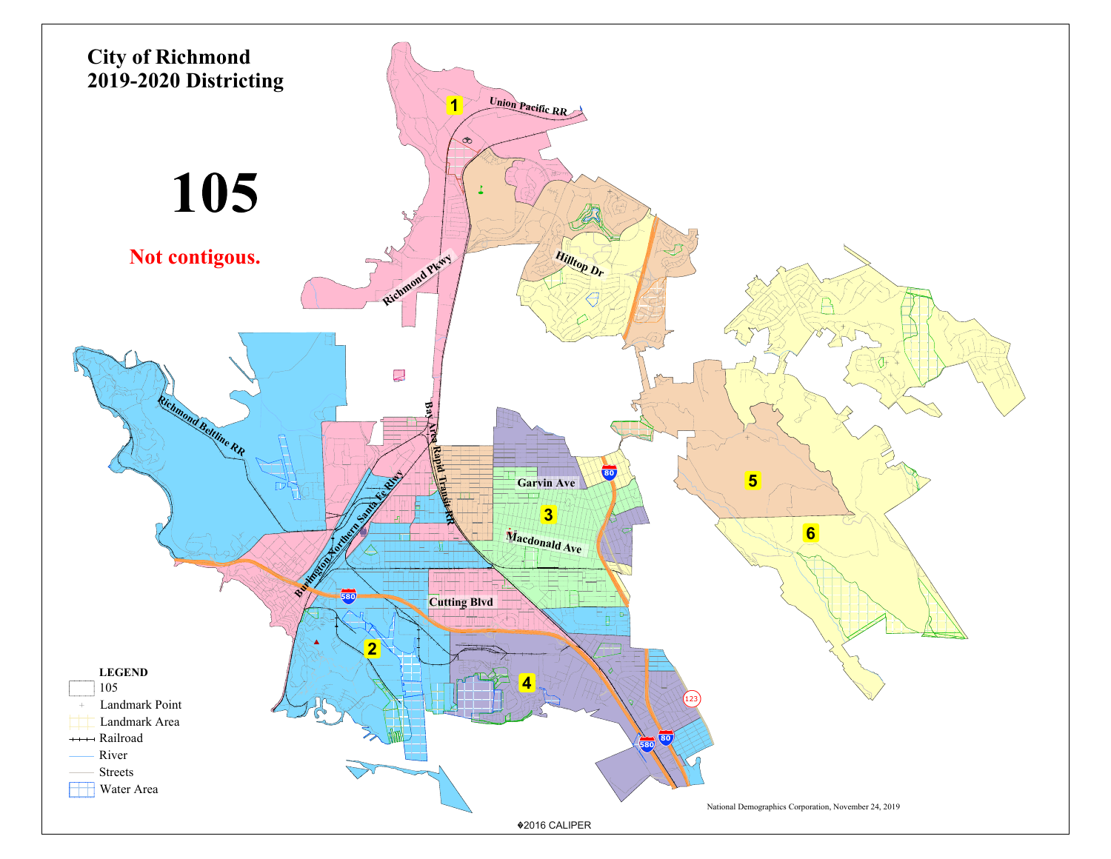